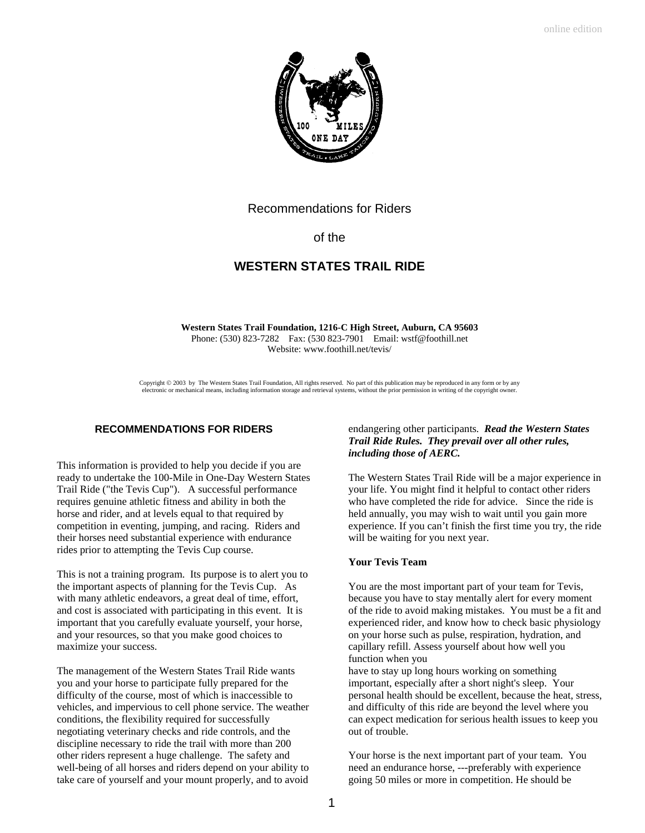

# Recommendations for Riders

# of the

# **WESTERN STATES TRAIL RIDE**

**Western States Trail Foundation, 1216-C High Street, Auburn, CA 95603** Phone: (530) 823-7282 Fax: (530 823-7901 Email: wstf@foothill.net Website: www.foothill.net/tevis/

Copyright  $\odot$  2003 by The Western States Trail Foundation, All rights reserved. No part of this publication may be reproduced in any form or by any electronic or mechanical means, including information storage and retrieval systems, without the prior permission in writing of the copyright owner.

## **RECOMMENDATIONS FOR RIDERS**

This information is provided to help you decide if you are ready to undertake the 100-Mile in One-Day Western States Trail Ride ("the Tevis Cup"). A successful performance requires genuine athletic fitness and ability in both the horse and rider, and at levels equal to that required by competition in eventing, jumping, and racing. Riders and their horses need substantial experience with endurance rides prior to attempting the Tevis Cup course.

This is not a training program. Its purpose is to alert you to the important aspects of planning for the Tevis Cup. As with many athletic endeavors, a great deal of time, effort, and cost is associated with participating in this event. It is important that you carefully evaluate yourself, your horse, and your resources, so that you make good choices to maximize your success.

The management of the Western States Trail Ride wants you and your horse to participate fully prepared for the difficulty of the course, most of which is inaccessible to vehicles, and impervious to cell phone service. The weather conditions, the flexibility required for successfully negotiating veterinary checks and ride controls, and the discipline necessary to ride the trail with more than 200 other riders represent a huge challenge. The safety and well-being of all horses and riders depend on your ability to take care of yourself and your mount properly, and to avoid

# endangering other participants*. Read the Western States Trail Ride Rules. They prevail over all other rules, including those of AERC.*

The Western States Trail Ride will be a major experience in your life. You might find it helpful to contact other riders who have completed the ride for advice. Since the ride is held annually, you may wish to wait until you gain more experience. If you can't finish the first time you try, the ride will be waiting for you next year.

### **Your Tevis Team**

You are the most important part of your team for Tevis, because you have to stay mentally alert for every moment of the ride to avoid making mistakes. You must be a fit and experienced rider, and know how to check basic physiology on your horse such as pulse, respiration, hydration, and capillary refill. Assess yourself about how well you function when you

have to stay up long hours working on something important, especially after a short night's sleep. Your personal health should be excellent, because the heat, stress, and difficulty of this ride are beyond the level where you can expect medication for serious health issues to keep you out of trouble.

Your horse is the next important part of your team. You need an endurance horse, ---preferably with experience going 50 miles or more in competition. He should be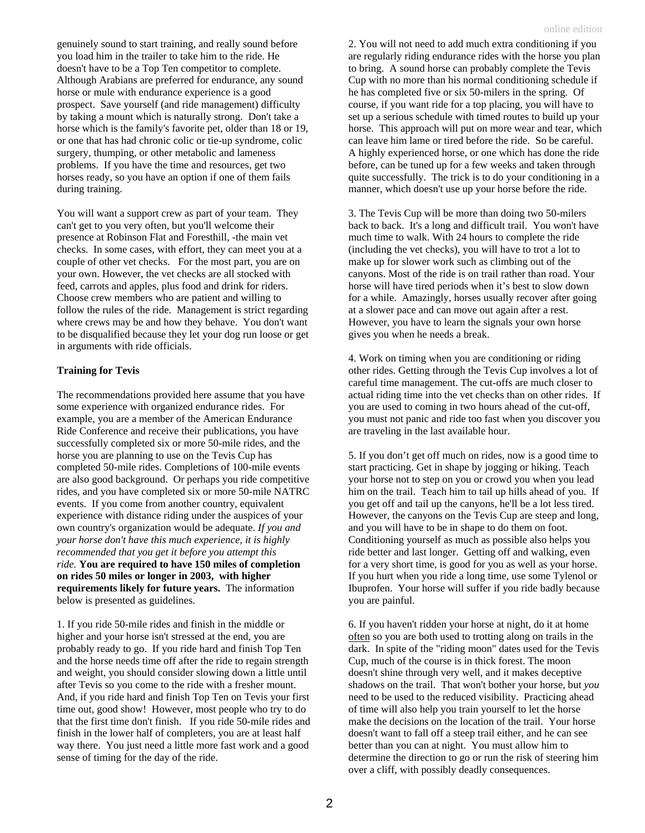genuinely sound to start training, and really sound before you load him in the trailer to take him to the ride. He doesn't have to be a Top Ten competitor to complete. Although Arabians are preferred for endurance, any sound horse or mule with endurance experience is a good prospect. Save yourself (and ride management) difficulty by taking a mount which is naturally strong. Don't take a horse which is the family's favorite pet, older than 18 or 19, or one that has had chronic colic or tie-up syndrome, colic surgery, thumping, or other metabolic and lameness problems. If you have the time and resources, get two horses ready, so you have an option if one of them fails during training.

You will want a support crew as part of your team. They can't get to you very often, but you'll welcome their presence at Robinson Flat and Foresthill, -the main vet checks. In some cases, with effort, they can meet you at a couple of other vet checks. For the most part, you are on your own. However, the vet checks are all stocked with feed, carrots and apples, plus food and drink for riders. Choose crew members who are patient and willing to follow the rules of the ride. Management is strict regarding where crews may be and how they behave. You don't want to be disqualified because they let your dog run loose or get in arguments with ride officials.

### **Training for Tevis**

The recommendations provided here assume that you have some experience with organized endurance rides. For example, you are a member of the American Endurance Ride Conference and receive their publications, you have successfully completed six or more 50-mile rides, and the horse you are planning to use on the Tevis Cup has completed 50-mile rides. Completions of 100-mile events are also good background. Or perhaps you ride competitive rides, and you have completed six or more 50-mile NATRC events. If you come from another country, equivalent experience with distance riding under the auspices of your own country's organization would be adequate. *If you and your horse don't have this much experience, it is highly recommended that you get it before you attempt this ride.* **You are required to have 150 miles of completion on rides 50 miles or longer in 2003, with higher requirements likely for future years.** The information below is presented as guidelines.

1. If you ride 50-mile rides and finish in the middle or higher and your horse isn't stressed at the end, you are probably ready to go. If you ride hard and finish Top Ten and the horse needs time off after the ride to regain strength and weight, you should consider slowing down a little until after Tevis so you come to the ride with a fresher mount. And, if you ride hard and finish Top Ten on Tevis your first time out, good show! However, most people who try to do that the first time don't finish. If you ride 50-mile rides and finish in the lower half of completers, you are at least half way there. You just need a little more fast work and a good sense of timing for the day of the ride.

2. You will not need to add much extra conditioning if you are regularly riding endurance rides with the horse you plan to bring. A sound horse can probably complete the Tevis Cup with no more than his normal conditioning schedule if he has completed five or six 50-milers in the spring. Of course, if you want ride for a top placing, you will have to set up a serious schedule with timed routes to build up your horse. This approach will put on more wear and tear, which can leave him lame or tired before the ride. So be careful. A highly experienced horse, or one which has done the ride before, can be tuned up for a few weeks and taken through quite successfully. The trick is to do your conditioning in a manner, which doesn't use up your horse before the ride.

3. The Tevis Cup will be more than doing two 50-milers back to back. It's a long and difficult trail. You won't have much time to walk. With 24 hours to complete the ride (including the vet checks), you will have to trot a lot to make up for slower work such as climbing out of the canyons. Most of the ride is on trail rather than road. Your horse will have tired periods when it's best to slow down for a while. Amazingly, horses usually recover after going at a slower pace and can move out again after a rest. However, you have to learn the signals your own horse gives you when he needs a break.

4. Work on timing when you are conditioning or riding other rides. Getting through the Tevis Cup involves a lot of careful time management. The cut-offs are much closer to actual riding time into the vet checks than on other rides. If you are used to coming in two hours ahead of the cut-off, you must not panic and ride too fast when you discover you are traveling in the last available hour.

5. If you don't get off much on rides, now is a good time to start practicing. Get in shape by jogging or hiking. Teach your horse not to step on you or crowd you when you lead him on the trail. Teach him to tail up hills ahead of you. If you get off and tail up the canyons, he'll be a lot less tired. However, the canyons on the Tevis Cup are steep and long, and you will have to be in shape to do them on foot. Conditioning yourself as much as possible also helps you ride better and last longer. Getting off and walking, even for a very short time, is good for you as well as your horse. If you hurt when you ride a long time, use some Tylenol or Ibuprofen. Your horse will suffer if you ride badly because you are painful.

6. If you haven't ridden your horse at night, do it at home often so you are both used to trotting along on trails in the dark. In spite of the "riding moon" dates used for the Tevis Cup, much of the course is in thick forest. The moon doesn't shine through very well, and it makes deceptive shadows on the trail. That won't bother your horse, but *you* need to be used to the reduced visibility. Practicing ahead of time will also help you train yourself to let the horse make the decisions on the location of the trail. Your horse doesn't want to fall off a steep trail either, and he can see better than you can at night. You must allow him to determine the direction to go or run the risk of steering him over a cliff, with possibly deadly consequences.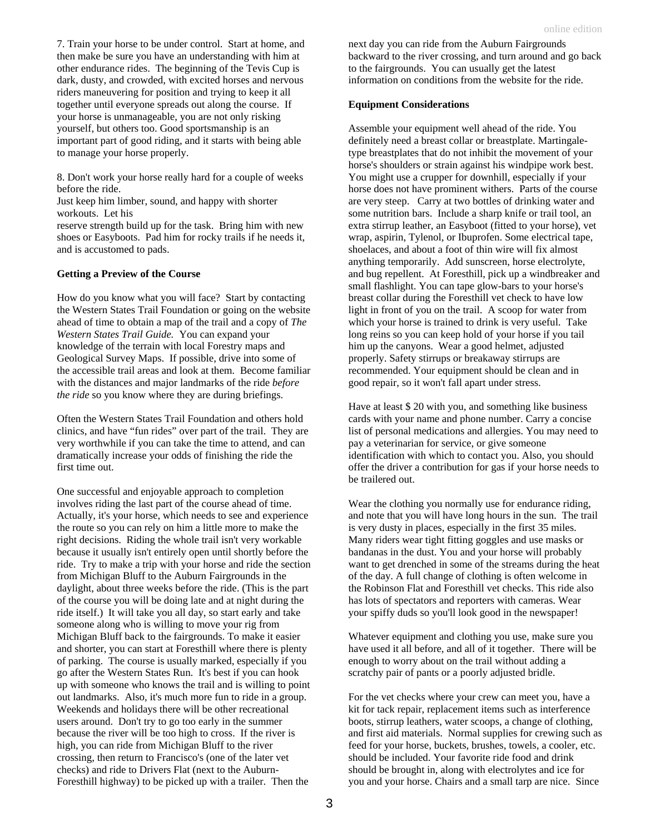8. Don't work your horse really hard for a couple of weeks before the ride.

Just keep him limber, sound, and happy with shorter workouts. Let his

reserve strength build up for the task. Bring him with new shoes or Easyboots. Pad him for rocky trails if he needs it, and is accustomed to pads.

#### **Getting a Preview of the Course**

How do you know what you will face? Start by contacting the Western States Trail Foundation or going on the website ahead of time to obtain a map of the trail and a copy of *The Western States Trail Guide.* You can expand your knowledge of the terrain with local Forestry maps and Geological Survey Maps. If possible, drive into some of the accessible trail areas and look at them. Become familiar with the distances and major landmarks of the ride *before the ride* so you know where they are during briefings.

Often the Western States Trail Foundation and others hold clinics, and have "fun rides" over part of the trail. They are very worthwhile if you can take the time to attend, and can dramatically increase your odds of finishing the ride the first time out.

One successful and enjoyable approach to completion involves riding the last part of the course ahead of time. Actually, it's your horse, which needs to see and experience the route so you can rely on him a little more to make the right decisions. Riding the whole trail isn't very workable because it usually isn't entirely open until shortly before the ride. Try to make a trip with your horse and ride the section from Michigan Bluff to the Auburn Fairgrounds in the daylight, about three weeks before the ride. (This is the part of the course you will be doing late and at night during the ride itself.) It will take you all day, so start early and take someone along who is willing to move your rig from Michigan Bluff back to the fairgrounds. To make it easier and shorter, you can start at Foresthill where there is plenty of parking. The course is usually marked, especially if you go after the Western States Run. It's best if you can hook up with someone who knows the trail and is willing to point out landmarks. Also, it's much more fun to ride in a group. Weekends and holidays there will be other recreational users around. Don't try to go too early in the summer because the river will be too high to cross. If the river is high, you can ride from Michigan Bluff to the river crossing, then return to Francisco's (one of the later vet checks) and ride to Drivers Flat (next to the Auburn-Foresthill highway) to be picked up with a trailer. Then the

next day you can ride from the Auburn Fairgrounds backward to the river crossing, and turn around and go back to the fairgrounds. You can usually get the latest information on conditions from the website for the ride.

#### **Equipment Considerations**

Assemble your equipment well ahead of the ride. You definitely need a breast collar or breastplate. Martingaletype breastplates that do not inhibit the movement of your horse's shoulders or strain against his windpipe work best. You might use a crupper for downhill, especially if your horse does not have prominent withers. Parts of the course are very steep. Carry at two bottles of drinking water and some nutrition bars. Include a sharp knife or trail tool, an extra stirrup leather, an Easyboot (fitted to your horse), vet wrap, aspirin, Tylenol, or Ibuprofen. Some electrical tape, shoelaces, and about a foot of thin wire will fix almost anything temporarily. Add sunscreen, horse electrolyte, and bug repellent. At Foresthill, pick up a windbreaker and small flashlight. You can tape glow-bars to your horse's breast collar during the Foresthill vet check to have low light in front of you on the trail. A scoop for water from which your horse is trained to drink is very useful. Take long reins so you can keep hold of your horse if you tail him up the canyons. Wear a good helmet, adjusted properly. Safety stirrups or breakaway stirrups are recommended. Your equipment should be clean and in good repair, so it won't fall apart under stress.

Have at least \$ 20 with you, and something like business cards with your name and phone number. Carry a concise list of personal medications and allergies. You may need to pay a veterinarian for service, or give someone identification with which to contact you. Also, you should offer the driver a contribution for gas if your horse needs to be trailered out.

Wear the clothing you normally use for endurance riding, and note that you will have long hours in the sun. The trail is very dusty in places, especially in the first 35 miles. Many riders wear tight fitting goggles and use masks or bandanas in the dust. You and your horse will probably want to get drenched in some of the streams during the heat of the day. A full change of clothing is often welcome in the Robinson Flat and Foresthill vet checks. This ride also has lots of spectators and reporters with cameras. Wear your spiffy duds so you'll look good in the newspaper!

Whatever equipment and clothing you use, make sure you have used it all before, and all of it together. There will be enough to worry about on the trail without adding a scratchy pair of pants or a poorly adjusted bridle.

For the vet checks where your crew can meet you, have a kit for tack repair, replacement items such as interference boots, stirrup leathers, water scoops, a change of clothing, and first aid materials. Normal supplies for crewing such as feed for your horse, buckets, brushes, towels, a cooler, etc. should be included. Your favorite ride food and drink should be brought in, along with electrolytes and ice for you and your horse. Chairs and a small tarp are nice. Since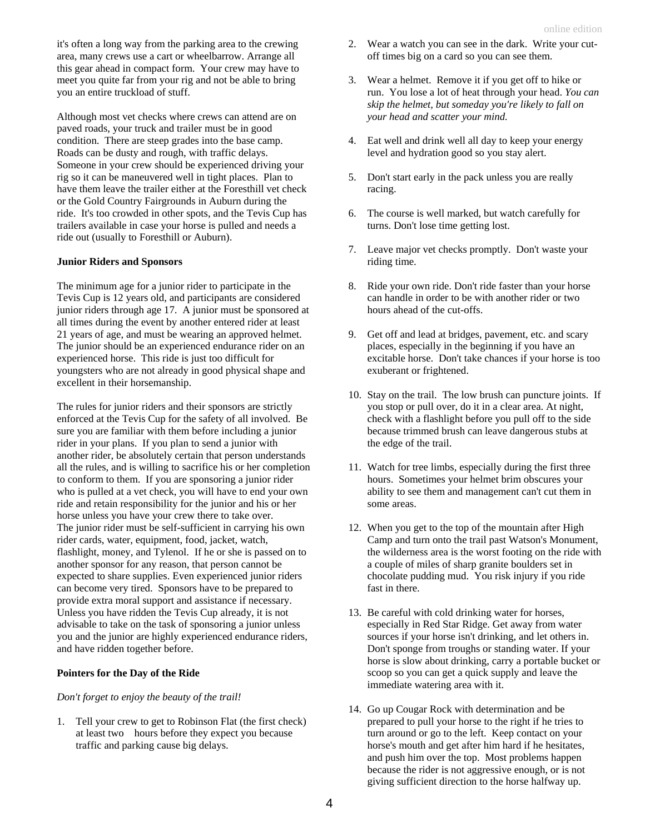it's often a long way from the parking area to the crewing area, many crews use a cart or wheelbarrow. Arrange all this gear ahead in compact form. Your crew may have to meet you quite far from your rig and not be able to bring you an entire truckload of stuff.

Although most vet checks where crews can attend are on paved roads, your truck and trailer must be in good condition. There are steep grades into the base camp. Roads can be dusty and rough, with traffic delays. Someone in your crew should be experienced driving your rig so it can be maneuvered well in tight places. Plan to have them leave the trailer either at the Foresthill vet check or the Gold Country Fairgrounds in Auburn during the ride. It's too crowded in other spots, and the Tevis Cup has trailers available in case your horse is pulled and needs a ride out (usually to Foresthill or Auburn).

#### **Junior Riders and Sponsors**

The minimum age for a junior rider to participate in the Tevis Cup is 12 years old, and participants are considered junior riders through age 17. A junior must be sponsored at all times during the event by another entered rider at least 21 years of age, and must be wearing an approved helmet. The junior should be an experienced endurance rider on an experienced horse. This ride is just too difficult for youngsters who are not already in good physical shape and excellent in their horsemanship.

The rules for junior riders and their sponsors are strictly enforced at the Tevis Cup for the safety of all involved. Be sure you are familiar with them before including a junior rider in your plans. If you plan to send a junior with another rider, be absolutely certain that person understands all the rules, and is willing to sacrifice his or her completion to conform to them. If you are sponsoring a junior rider who is pulled at a vet check, you will have to end your own ride and retain responsibility for the junior and his or her horse unless you have your crew there to take over. The junior rider must be self-sufficient in carrying his own rider cards, water, equipment, food, jacket, watch, flashlight, money, and Tylenol. If he or she is passed on to another sponsor for any reason, that person cannot be expected to share supplies. Even experienced junior riders can become very tired. Sponsors have to be prepared to provide extra moral support and assistance if necessary. Unless you have ridden the Tevis Cup already, it is not advisable to take on the task of sponsoring a junior unless you and the junior are highly experienced endurance riders, and have ridden together before.

#### **Pointers for the Day of the Ride**

*Don't forget to enjoy the beauty of the trail!*

1. Tell your crew to get to Robinson Flat (the first check) at least two hours before they expect you because traffic and parking cause big delays.

- 2. Wear a watch you can see in the dark. Write your cutoff times big on a card so you can see them.
- 3. Wear a helmet. Remove it if you get off to hike or run. You lose a lot of heat through your head. *You can skip the helmet, but someday you're likely to fall on your head and scatter your mind.*
- 4. Eat well and drink well all day to keep your energy level and hydration good so you stay alert.
- 5. Don't start early in the pack unless you are really racing.
- 6. The course is well marked, but watch carefully for turns. Don't lose time getting lost.
- 7. Leave major vet checks promptly. Don't waste your riding time.
- 8. Ride your own ride. Don't ride faster than your horse can handle in order to be with another rider or two hours ahead of the cut-offs.
- 9. Get off and lead at bridges, pavement, etc. and scary places, especially in the beginning if you have an excitable horse. Don't take chances if your horse is too exuberant or frightened.
- 10. Stay on the trail. The low brush can puncture joints. If you stop or pull over, do it in a clear area. At night, check with a flashlight before you pull off to the side because trimmed brush can leave dangerous stubs at the edge of the trail.
- 11. Watch for tree limbs, especially during the first three hours. Sometimes your helmet brim obscures your ability to see them and management can't cut them in some areas.
- 12. When you get to the top of the mountain after High Camp and turn onto the trail past Watson's Monument, the wilderness area is the worst footing on the ride with a couple of miles of sharp granite boulders set in chocolate pudding mud. You risk injury if you ride fast in there.
- 13. Be careful with cold drinking water for horses, especially in Red Star Ridge. Get away from water sources if your horse isn't drinking, and let others in. Don't sponge from troughs or standing water. If your horse is slow about drinking, carry a portable bucket or scoop so you can get a quick supply and leave the immediate watering area with it.
- 14. Go up Cougar Rock with determination and be prepared to pull your horse to the right if he tries to turn around or go to the left. Keep contact on your horse's mouth and get after him hard if he hesitates, and push him over the top. Most problems happen because the rider is not aggressive enough, or is not giving sufficient direction to the horse halfway up.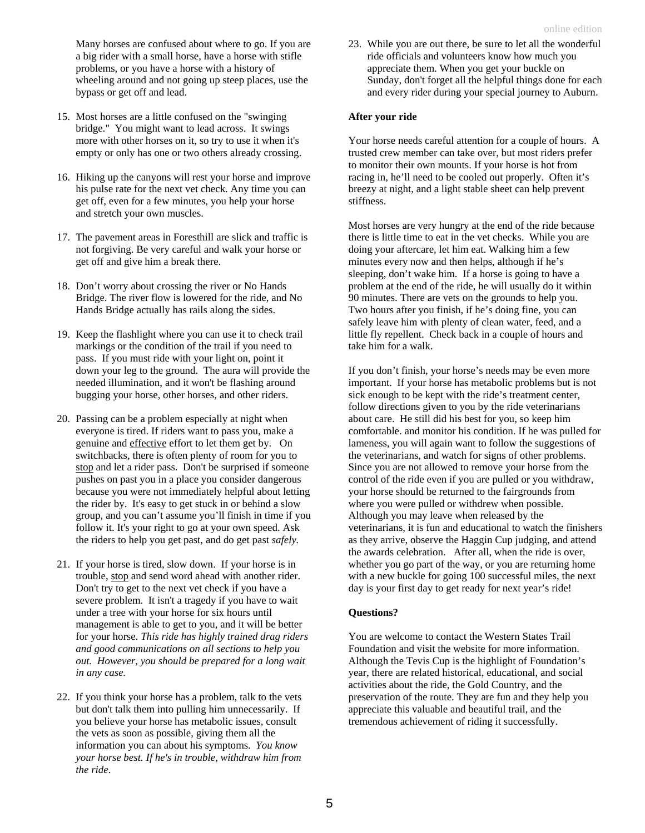Many horses are confused about where to go. If you are a big rider with a small horse, have a horse with stifle problems, or you have a horse with a history of wheeling around and not going up steep places, use the bypass or get off and lead.

- 15. Most horses are a little confused on the "swinging bridge." You might want to lead across. It swings more with other horses on it, so try to use it when it's empty or only has one or two others already crossing.
- 16. Hiking up the canyons will rest your horse and improve his pulse rate for the next vet check. Any time you can get off, even for a few minutes, you help your horse and stretch your own muscles.
- 17. The pavement areas in Foresthill are slick and traffic is not forgiving. Be very careful and walk your horse or get off and give him a break there.
- 18. Don't worry about crossing the river or No Hands Bridge. The river flow is lowered for the ride, and No Hands Bridge actually has rails along the sides.
- 19. Keep the flashlight where you can use it to check trail markings or the condition of the trail if you need to pass. If you must ride with your light on, point it down your leg to the ground. The aura will provide the needed illumination, and it won't be flashing around bugging your horse, other horses, and other riders.
- 20. Passing can be a problem especially at night when everyone is tired. If riders want to pass you, make a genuine and effective effort to let them get by. On switchbacks, there is often plenty of room for you to stop and let a rider pass. Don't be surprised if someone pushes on past you in a place you consider dangerous because you were not immediately helpful about letting the rider by. It's easy to get stuck in or behind a slow group, and you can't assume you'll finish in time if you follow it. It's your right to go at your own speed. Ask the riders to help you get past, and do get past *safely.*
- 21. If your horse is tired, slow down. If your horse is in trouble, stop and send word ahead with another rider. Don't try to get to the next vet check if you have a severe problem. It isn't a tragedy if you have to wait under a tree with your horse for six hours until management is able to get to you, and it will be better for your horse. *This ride has highly trained drag riders and good communications on all sections to help you out. However, you should be prepared for a long wait in any case.*
- 22. If you think your horse has a problem, talk to the vets but don't talk them into pulling him unnecessarily. If you believe your horse has metabolic issues, consult the vets as soon as possible, giving them all the information you can about his symptoms. *You know your horse best. If he's in trouble, withdraw him from the ride*.

23. While you are out there, be sure to let all the wonderful ride officials and volunteers know how much you appreciate them. When you get your buckle on Sunday, don't forget all the helpful things done for each and every rider during your special journey to Auburn.

#### **After your ride**

Your horse needs careful attention for a couple of hours. A trusted crew member can take over, but most riders prefer to monitor their own mounts. If your horse is hot from racing in, he'll need to be cooled out properly. Often it's breezy at night, and a light stable sheet can help prevent stiffness.

Most horses are very hungry at the end of the ride because there is little time to eat in the vet checks. While you are doing your aftercare, let him eat. Walking him a few minutes every now and then helps, although if he's sleeping, don't wake him. If a horse is going to have a problem at the end of the ride, he will usually do it within 90 minutes. There are vets on the grounds to help you. Two hours after you finish, if he's doing fine, you can safely leave him with plenty of clean water, feed, and a little fly repellent. Check back in a couple of hours and take him for a walk.

If you don't finish, your horse's needs may be even more important. If your horse has metabolic problems but is not sick enough to be kept with the ride's treatment center, follow directions given to you by the ride veterinarians about care. He still did his best for you, so keep him comfortable. and monitor his condition. If he was pulled for lameness, you will again want to follow the suggestions of the veterinarians, and watch for signs of other problems. Since you are not allowed to remove your horse from the control of the ride even if you are pulled or you withdraw, your horse should be returned to the fairgrounds from where you were pulled or withdrew when possible. Although you may leave when released by the veterinarians, it is fun and educational to watch the finishers as they arrive, observe the Haggin Cup judging, and attend the awards celebration. After all, when the ride is over, whether you go part of the way, or you are returning home with a new buckle for going 100 successful miles, the next day is your first day to get ready for next year's ride!

#### **Questions?**

You are welcome to contact the Western States Trail Foundation and visit the website for more information. Although the Tevis Cup is the highlight of Foundation's year, there are related historical, educational, and social activities about the ride, the Gold Country, and the preservation of the route. They are fun and they help you appreciate this valuable and beautiful trail, and the tremendous achievement of riding it successfully.